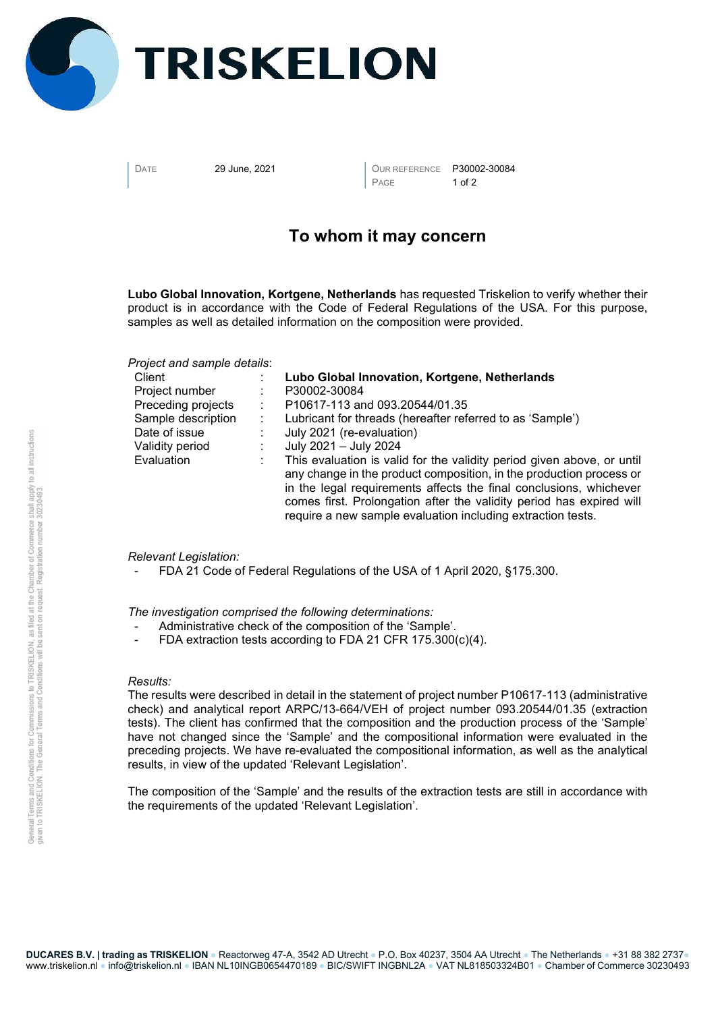

DATE 29 June, 2021 **DATE DATE P30002-30084** PAGE 1 of 2

## To whom it may concern

Lubo Global Innovation, Kortgene, Netherlands has requested Triskelion to verify whether their product is in accordance with the Code of Federal Regulations of the USA. For this purpose, samples as well as detailed information on the composition were provided.

Project and sample details:

| Client             | Lubo Global Innovation, Kortgene, Netherlands                                                                                                                                                                                                                                                                                                              |
|--------------------|------------------------------------------------------------------------------------------------------------------------------------------------------------------------------------------------------------------------------------------------------------------------------------------------------------------------------------------------------------|
| Project number     | P30002-30084                                                                                                                                                                                                                                                                                                                                               |
| Preceding projects | P10617-113 and 093.20544/01.35                                                                                                                                                                                                                                                                                                                             |
| Sample description | Lubricant for threads (hereafter referred to as 'Sample')                                                                                                                                                                                                                                                                                                  |
| Date of issue      | July 2021 (re-evaluation)                                                                                                                                                                                                                                                                                                                                  |
| Validity period    | July 2021 - July 2024                                                                                                                                                                                                                                                                                                                                      |
| Evaluation         | This evaluation is valid for the validity period given above, or until<br>any change in the product composition, in the production process or<br>in the legal requirements affects the final conclusions, whichever<br>comes first. Prolongation after the validity period has expired will<br>require a new sample evaluation including extraction tests. |

## Relevant Legislation:

FDA 21 Code of Federal Regulations of the USA of 1 April 2020, §175.300.

The investigation comprised the following determinations:

- Administrative check of the composition of the 'Sample'.
- FDA extraction tests according to FDA 21 CFR 175.300(c)(4).

## Results:

The results were described in detail in the statement of project number P10617-113 (administrative check) and analytical report ARPC/13-664/VEH of project number 093.20544/01.35 (extraction tests). The client has confirmed that the composition and the production process of the 'Sample' have not changed since the 'Sample' and the compositional information were evaluated in the preceding projects. We have re-evaluated the compositional information, as well as the analytical results, in view of the updated 'Relevant Legislation'.

The composition of the 'Sample' and the results of the extraction tests are still in accordance with the requirements of the updated 'Relevant Legislation'.